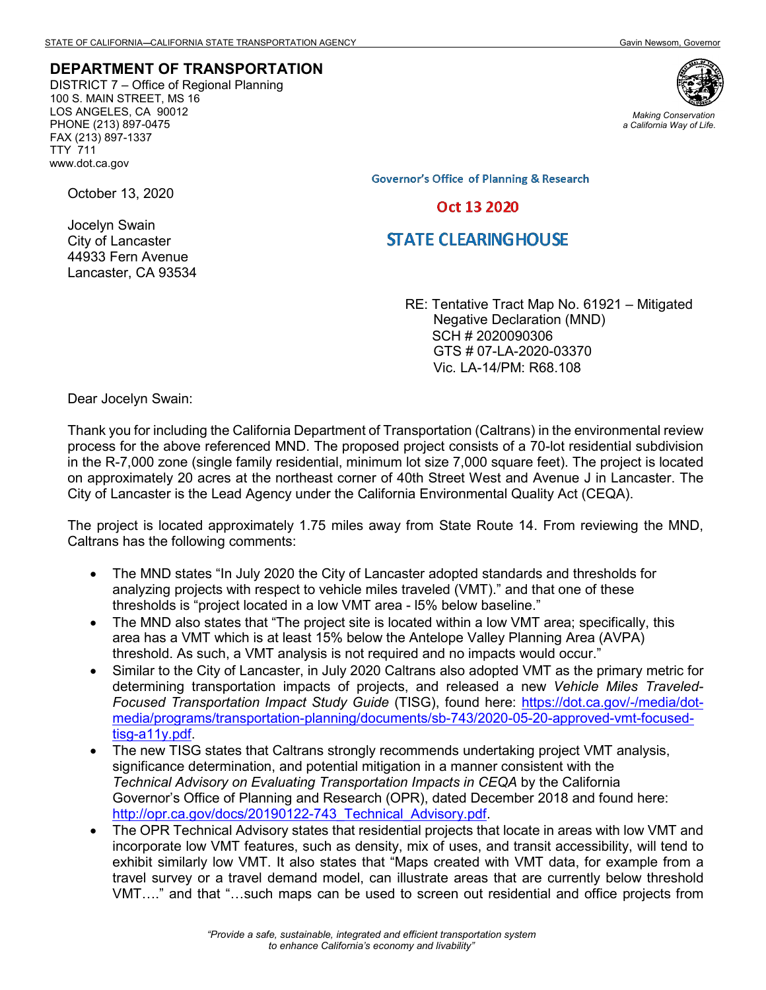## **DEPARTMENT OF TRANSPORTATION**

DISTRICT 7 – Office of Regional Planning 100 S. MAIN STREET, MS 16 LOS ANGELES, CA 90012 PHONE (213) 897-0475 FAX (213) 897-1337 TTY 711 www.dot.ca.gov



*Making Conservation a California Way of Life.*

**Governor's Office of Planning & Research** 

## Oct 13 2020

## **STATE CLEARING HOUSE**

RE: Tentative Tract Map No. 61921 – Mitigated Negative Declaration (MND) SCH # 2020090306 GTS # 07-LA-2020-03370 Vic. LA-14/PM: R68.108

Dear Jocelyn Swain:

October 13, 2020

Jocelyn Swain City of Lancaster 44933 Fern Avenue Lancaster, CA 93534

Thank you for including the California Department of Transportation (Caltrans) in the environmental review process for the above referenced MND. The proposed project consists of a 70-lot residential subdivision in the R-7,000 zone (single family residential, minimum lot size 7,000 square feet). The project is located on approximately 20 acres at the northeast corner of 40th Street West and Avenue J in Lancaster. The City of Lancaster is the Lead Agency under the California Environmental Quality Act (CEQA).

The project is located approximately 1.75 miles away from State Route 14. From reviewing the MND, Caltrans has the following comments:

- The MND states "In July 2020 the City of Lancaster adopted standards and thresholds for analyzing projects with respect to vehicle miles traveled (VMT)." and that one of these thresholds is "project located in a low VMT area - l5% below baseline."
- The MND also states that "The project site is located within a low VMT area; specifically, this area has a VMT which is at least 15% below the Antelope Valley Planning Area (AVPA) threshold. As such, a VMT analysis is not required and no impacts would occur."
- Similar to the City of Lancaster, in July 2020 Caltrans also adopted VMT as the primary metric for determining transportation impacts of projects, and released a new *Vehicle Miles Traveled-Focused Transportation Impact Study Guide* (TISG), found here: https://dot.ca.gov/-/media/dotmedia/programs/transportation-planning/documents/sb-743/2020-05-20-approved-vmt-focusedtisg-a11y.pdf.
- The new TISG states that Caltrans strongly recommends undertaking project VMT analysis, significance determination, and potential mitigation in a manner consistent with the *Technical Advisory on Evaluating Transportation Impacts in CEQA* by the California Governor's Office of Planning and Research (OPR), dated December 2018 and found here: [http://opr.ca.gov/docs/20190122-743\\_Technical\\_Advisory.pdf.](http://opr.ca.gov/docs/20190122-743_Technical_Advisory.pdf)
- The OPR Technical Advisory states that residential projects that locate in areas with low VMT and incorporate low VMT features, such as density, mix of uses, and transit accessibility, will tend to exhibit similarly low VMT. It also states that "Maps created with VMT data, for example from a travel survey or a travel demand model, can illustrate areas that are currently below threshold VMT…." and that "…such maps can be used to screen out residential and office projects from